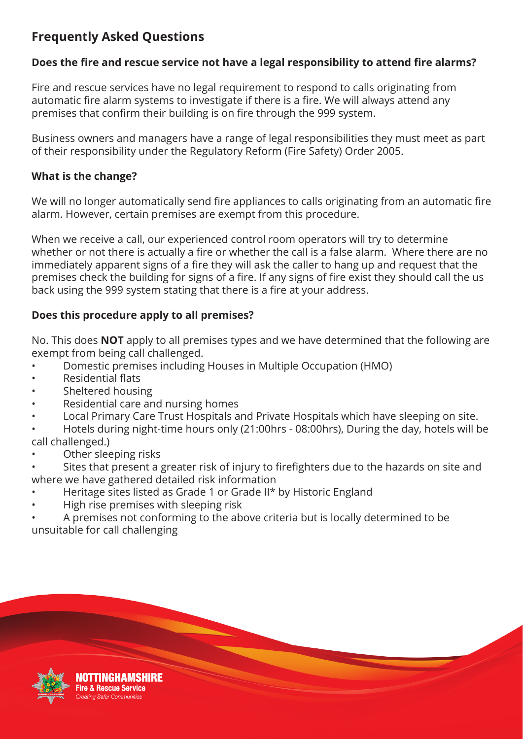# **Frequently Asked Questions**

# **Does the fire and rescue service not have a legal responsibility to attend fire alarms?**

Fire and rescue services have no legal requirement to respond to calls originating from automatic fire alarm systems to investigate if there is a fire. We will always attend any premises that confirm their building is on fire through the 999 system.

Business owners and managers have a range of legal responsibilities they must meet as part of their responsibility under the Regulatory Reform (Fire Safety) Order 2005.

## **What is the change?**

We will no longer automatically send fire appliances to calls originating from an automatic fire alarm. However, certain premises are exempt from this procedure.

When we receive a call, our experienced control room operators will try to determine whether or not there is actually a fire or whether the call is a false alarm. Where there are no immediately apparent signs of a fire they will ask the caller to hang up and request that the premises check the building for signs of a fire. If any signs of fire exist they should call the us back using the 999 system stating that there is a fire at your address.

# **Does this procedure apply to all premises?**

No. This does **NOT** apply to all premises types and we have determined that the following are exempt from being call challenged.

- Domestic premises including Houses in Multiple Occupation (HMO)
- Residential flats
- Sheltered housing
- Residential care and nursing homes
- Local Primary Care Trust Hospitals and Private Hospitals which have sleeping on site.
- Hotels during night-time hours only (21:00hrs 08:00hrs), During the day, hotels will be call challenged.)
- Other sleeping risks
- Sites that present a greater risk of injury to firefighters due to the hazards on site and where we have gathered detailed risk information
- Heritage sites listed as Grade 1 or Grade II\* by Historic England
- High rise premises with sleeping risk
- A premises not conforming to the above criteria but is locally determined to be unsuitable for call challenging

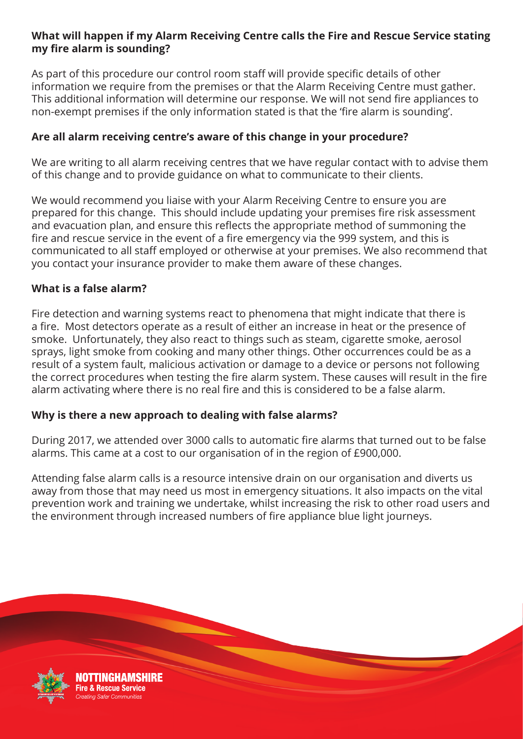## **What will happen if my Alarm Receiving Centre calls the Fire and Rescue Service stating my fire alarm is sounding?**

As part of this procedure our control room staff will provide specific details of other information we require from the premises or that the Alarm Receiving Centre must gather. This additional information will determine our response. We will not send fire appliances to non-exempt premises if the only information stated is that the 'fire alarm is sounding'.

## **Are all alarm receiving centre's aware of this change in your procedure?**

We are writing to all alarm receiving centres that we have regular contact with to advise them of this change and to provide guidance on what to communicate to their clients.

We would recommend you liaise with your Alarm Receiving Centre to ensure you are prepared for this change. This should include updating your premises fire risk assessment and evacuation plan, and ensure this reflects the appropriate method of summoning the fire and rescue service in the event of a fire emergency via the 999 system, and this is communicated to all staff employed or otherwise at your premises. We also recommend that you contact your insurance provider to make them aware of these changes.

#### **What is a false alarm?**

Fire detection and warning systems react to phenomena that might indicate that there is a fire. Most detectors operate as a result of either an increase in heat or the presence of smoke. Unfortunately, they also react to things such as steam, cigarette smoke, aerosol sprays, light smoke from cooking and many other things. Other occurrences could be as a result of a system fault, malicious activation or damage to a device or persons not following the correct procedures when testing the fire alarm system. These causes will result in the fire alarm activating where there is no real fire and this is considered to be a false alarm.

#### **Why is there a new approach to dealing with false alarms?**

During 2017, we attended over 3000 calls to automatic fire alarms that turned out to be false alarms. This came at a cost to our organisation of in the region of £900,000.

Attending false alarm calls is a resource intensive drain on our organisation and diverts us away from those that may need us most in emergency situations. It also impacts on the vital prevention work and training we undertake, whilst increasing the risk to other road users and the environment through increased numbers of fire appliance blue light journeys.



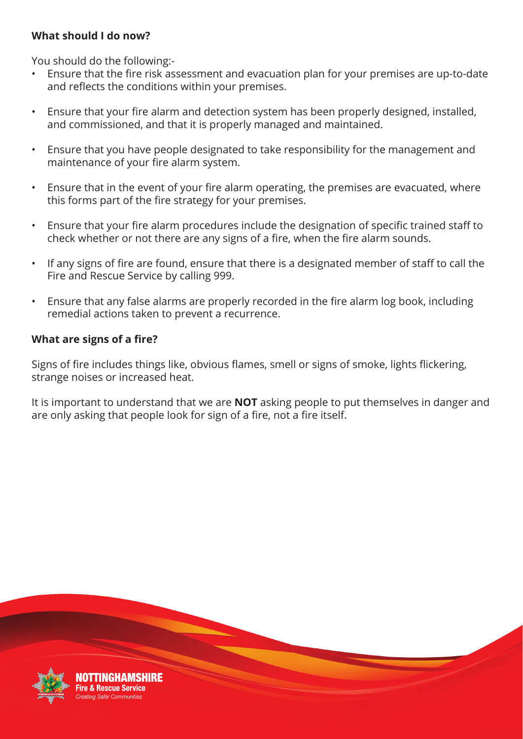# **What should I do now?**

You should do the following:-

- Ensure that the fire risk assessment and evacuation plan for your premises are up-to-date and reflects the conditions within your premises.
- Ensure that your fire alarm and detection system has been properly designed, installed, and commissioned, and that it is properly managed and maintained.
- Ensure that you have people designated to take responsibility for the management and maintenance of your fire alarm system.
- Ensure that in the event of your fire alarm operating, the premises are evacuated, where this forms part of the fire strategy for your premises.
- Ensure that your fire alarm procedures include the designation of specific trained staff to check whether or not there are any signs of a fire, when the fire alarm sounds.
- If any signs of fire are found, ensure that there is a designated member of staff to call the Fire and Rescue Service by calling 999.
- Ensure that any false alarms are properly recorded in the fire alarm log book, including remedial actions taken to prevent a recurrence.

## **What are signs of a fire?**

Signs of fire includes things like, obvious flames, smell or signs of smoke, lights flickering, strange noises or increased heat.

It is important to understand that we are **NOT** asking people to put themselves in danger and are only asking that people look for sign of a fire, not a fire itself.